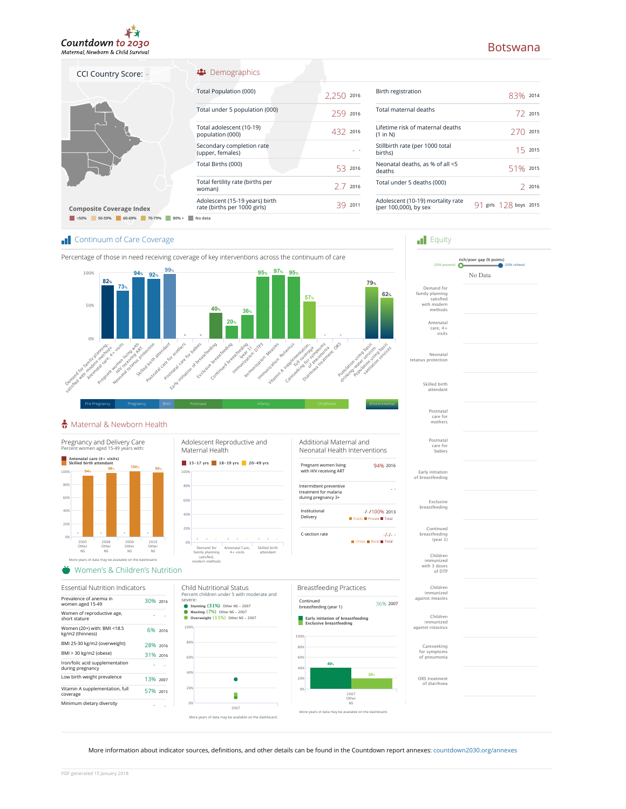

# Botswana

| CCI Country Score: -                                                  | Demographics                                                   |            |                                                   |
|-----------------------------------------------------------------------|----------------------------------------------------------------|------------|---------------------------------------------------|
|                                                                       | Total Population (000)                                         | 2,250 2016 | Birth registration                                |
|                                                                       | Total under 5 population (000)                                 | 259 2016   | Total maternal deaths                             |
|                                                                       | Total adolescent (10-19)<br>population (000)                   | 432 2016   | Lifetime risk of maternal<br>(1 in N)             |
|                                                                       | Secondary completion rate<br>(upper, females)                  |            | Stillbirth rate (per 1000 t<br>births)            |
|                                                                       | Total Births (000)                                             | 53 2016    | Neonatal deaths, as % of<br>deaths                |
|                                                                       | Total fertility rate (births per<br>woman)                     | 2 7 2016   | Total under 5 deaths (00                          |
| <b>Composite Coverage Index</b><br>60-69% 70-79%<br>50-59%<br>$80% +$ | Adolescent (15-19 years) birth<br>rate (births per 1000 girls) | 39 2011    | Adolescent (10-19) morta<br>(per 100,000), by sex |
|                                                                       | No data                                                        |            |                                                   |

| Birth registration                                         | $83\%$ 2014            |         |
|------------------------------------------------------------|------------------------|---------|
| Total maternal deaths                                      |                        | 722015  |
| Lifetime risk of maternal deaths<br>(1 in N)               | 270                    | 2015    |
| Stillbirth rate (per 1000 total<br>births)                 |                        | 15.2015 |
| Neonatal deaths, as % of all <5<br>deaths                  | 51% 2015               |         |
| Total under 5 deaths (000)                                 |                        | 2016    |
| Adolescent (10-19) mortality rate<br>(per 100,000), by sex | 91 girls 128 boys 2015 |         |

**Figuity** 

Postnatal care for mothers

Skilled birth attendant

Neonatal

Antenatal care, 4+ visits

Demand for family planning satisfied with modern i iliuucili<br>mathods

rich/poor gap (% points) (20% poorest) (20% richest) No Data

### **T** Continuum of Care Coverage



## Maternal & Newborn Health



More information about indicator sources, definitions, and other details can be found in the Countdown report annexes: countdown2030.org/annexes